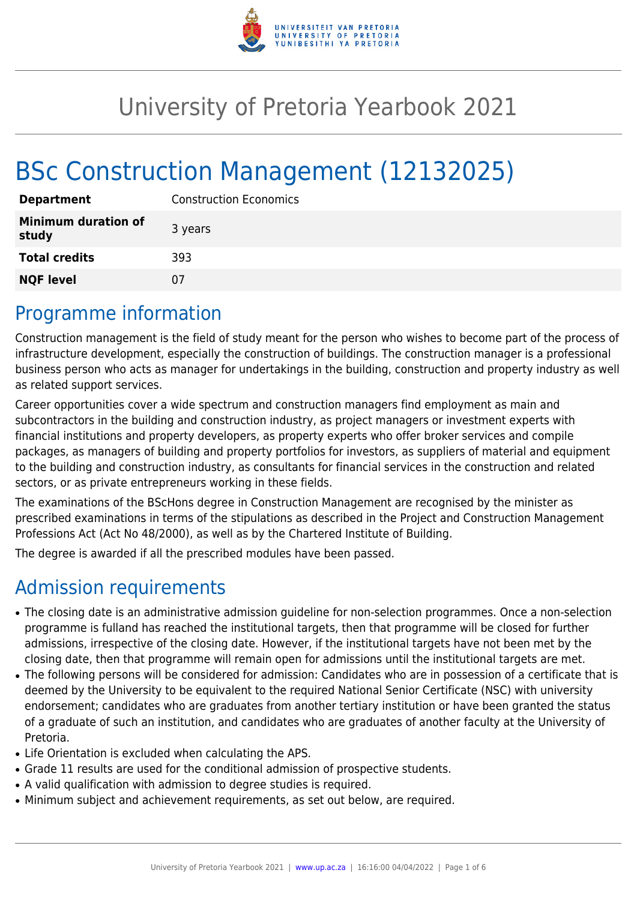

# University of Pretoria Yearbook 2021

# BSc Construction Management (12132025)

| <b>Department</b>                   | <b>Construction Economics</b> |
|-------------------------------------|-------------------------------|
| <b>Minimum duration of</b><br>study | 3 years                       |
| <b>Total credits</b>                | 393                           |
| <b>NQF level</b>                    | 07                            |

### Programme information

Construction management is the field of study meant for the person who wishes to become part of the process of infrastructure development, especially the construction of buildings. The construction manager is a professional business person who acts as manager for undertakings in the building, construction and property industry as well as related support services.

Career opportunities cover a wide spectrum and construction managers find employment as main and subcontractors in the building and construction industry, as project managers or investment experts with financial institutions and property developers, as property experts who offer broker services and compile packages, as managers of building and property portfolios for investors, as suppliers of material and equipment to the building and construction industry, as consultants for financial services in the construction and related sectors, or as private entrepreneurs working in these fields.

The examinations of the BScHons degree in Construction Management are recognised by the minister as prescribed examinations in terms of the stipulations as described in the Project and Construction Management Professions Act (Act No 48/2000), as well as by the Chartered Institute of Building.

The degree is awarded if all the prescribed modules have been passed.

# Admission requirements

- The closing date is an administrative admission guideline for non-selection programmes. Once a non-selection programme is fulland has reached the institutional targets, then that programme will be closed for further admissions, irrespective of the closing date. However, if the institutional targets have not been met by the closing date, then that programme will remain open for admissions until the institutional targets are met.
- The following persons will be considered for admission: Candidates who are in possession of a certificate that is deemed by the University to be equivalent to the required National Senior Certificate (NSC) with university endorsement; candidates who are graduates from another tertiary institution or have been granted the status of a graduate of such an institution, and candidates who are graduates of another faculty at the University of Pretoria.
- Life Orientation is excluded when calculating the APS.
- Grade 11 results are used for the conditional admission of prospective students.
- A valid qualification with admission to degree studies is required.
- Minimum subject and achievement requirements, as set out below, are required.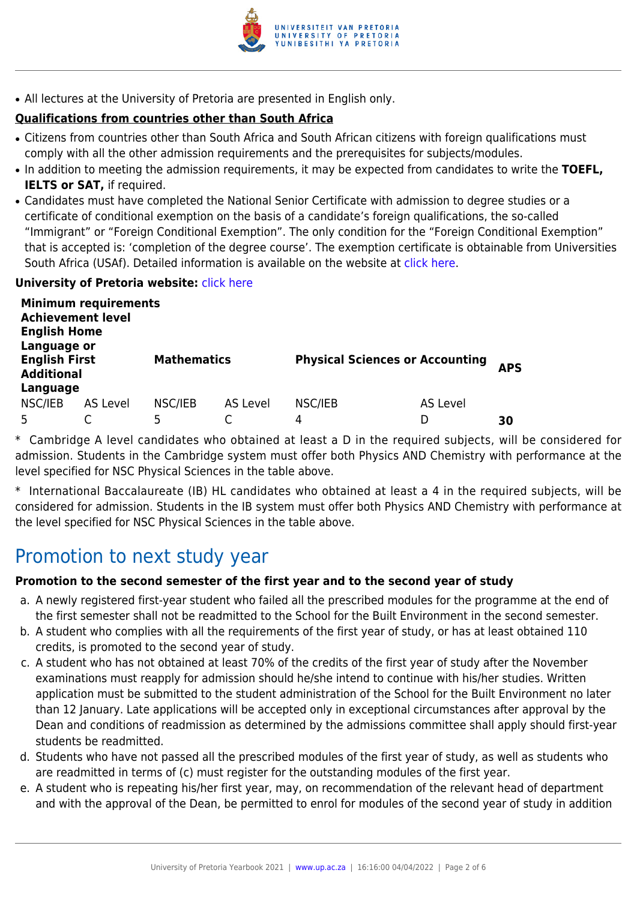

• All lectures at the University of Pretoria are presented in English only.

#### **Qualifications from countries other than South Africa**

- Citizens from countries other than South Africa and South African citizens with foreign qualifications must comply with all the other admission requirements and the prerequisites for subjects/modules.
- In addition to meeting the admission requirements, it may be expected from candidates to write the TOEFL, **IELTS or SAT,** if required.
- Candidates must have completed the National Senior Certificate with admission to degree studies or a certificate of conditional exemption on the basis of a candidate's foreign qualifications, the so-called "Immigrant" or "Foreign Conditional Exemption". The only condition for the "Foreign Conditional Exemption" that is accepted is: 'completion of the degree course'. The exemption certificate is obtainable from Universities South Africa (USAf). Detailed information is available on the website at [click here.](http://mb.usaf.ac.za)

#### **University of Pretoria website: [click here](http://www.up.ac.za/ebit)**

| <b>Minimum requirements</b><br><b>Achievement level</b><br><b>English Home</b><br>Language or |          |                    |          |                                        |          |            |  |  |
|-----------------------------------------------------------------------------------------------|----------|--------------------|----------|----------------------------------------|----------|------------|--|--|
| <b>English First</b><br><b>Additional</b>                                                     |          | <b>Mathematics</b> |          | <b>Physical Sciences or Accounting</b> |          | <b>APS</b> |  |  |
| Language                                                                                      |          |                    |          |                                        |          |            |  |  |
| NSC/IEB                                                                                       | AS Level | NSC/IEB            | AS Level | NSC/IEB                                | AS Level |            |  |  |
|                                                                                               |          | 5                  |          | 4                                      |          | 30         |  |  |

\* Cambridge A level candidates who obtained at least a D in the required subjects, will be considered for admission. Students in the Cambridge system must offer both Physics AND Chemistry with performance at the level specified for NSC Physical Sciences in the table above.

\* International Baccalaureate (IB) HL candidates who obtained at least a 4 in the required subjects, will be considered for admission. Students in the IB system must offer both Physics AND Chemistry with performance at the level specified for NSC Physical Sciences in the table above.

### Promotion to next study year

#### **Promotion to the second semester of the first year and to the second year of study**

- a. A newly registered first-year student who failed all the prescribed modules for the programme at the end of the first semester shall not be readmitted to the School for the Built Environment in the second semester.
- b. A student who complies with all the requirements of the first year of study, or has at least obtained 110 credits, is promoted to the second year of study.
- c. A student who has not obtained at least 70% of the credits of the first year of study after the November examinations must reapply for admission should he/she intend to continue with his/her studies. Written application must be submitted to the student administration of the School for the Built Environment no later than 12 January. Late applications will be accepted only in exceptional circumstances after approval by the Dean and conditions of readmission as determined by the admissions committee shall apply should first-year students be readmitted.
- d. Students who have not passed all the prescribed modules of the first year of study, as well as students who are readmitted in terms of (c) must register for the outstanding modules of the first year.
- e. A student who is repeating his/her first year, may, on recommendation of the relevant head of department and with the approval of the Dean, be permitted to enrol for modules of the second year of study in addition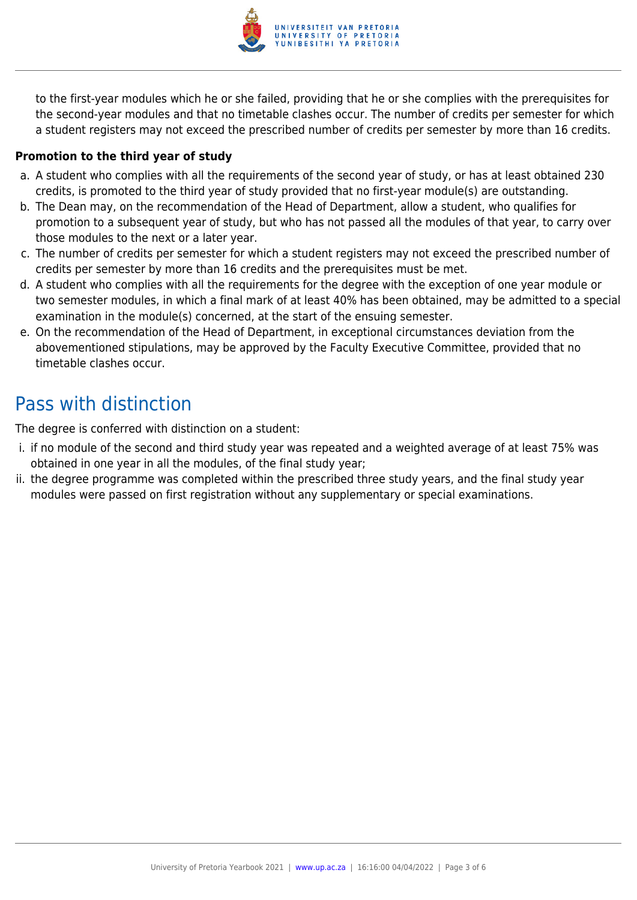

to the first-year modules which he or she failed, providing that he or she complies with the prerequisites for the second-year modules and that no timetable clashes occur. The number of credits per semester for which a student registers may not exceed the prescribed number of credits per semester by more than 16 credits.

#### **Promotion to the third year of study**

- a. A student who complies with all the requirements of the second year of study, or has at least obtained 230 credits, is promoted to the third year of study provided that no first-year module(s) are outstanding.
- b. The Dean may, on the recommendation of the Head of Department, allow a student, who qualifies for promotion to a subsequent year of study, but who has not passed all the modules of that year, to carry over those modules to the next or a later year.
- c. The number of credits per semester for which a student registers may not exceed the prescribed number of credits per semester by more than 16 credits and the prerequisites must be met.
- d. A student who complies with all the requirements for the degree with the exception of one year module or two semester modules, in which a final mark of at least 40% has been obtained, may be admitted to a special examination in the module(s) concerned, at the start of the ensuing semester.
- e. On the recommendation of the Head of Department, in exceptional circumstances deviation from the abovementioned stipulations, may be approved by the Faculty Executive Committee, provided that no timetable clashes occur.

# Pass with distinction

The degree is conferred with distinction on a student:

- i. if no module of the second and third study year was repeated and a weighted average of at least 75% was obtained in one year in all the modules, of the final study year;
- ii. the degree programme was completed within the prescribed three study years, and the final study year modules were passed on first registration without any supplementary or special examinations.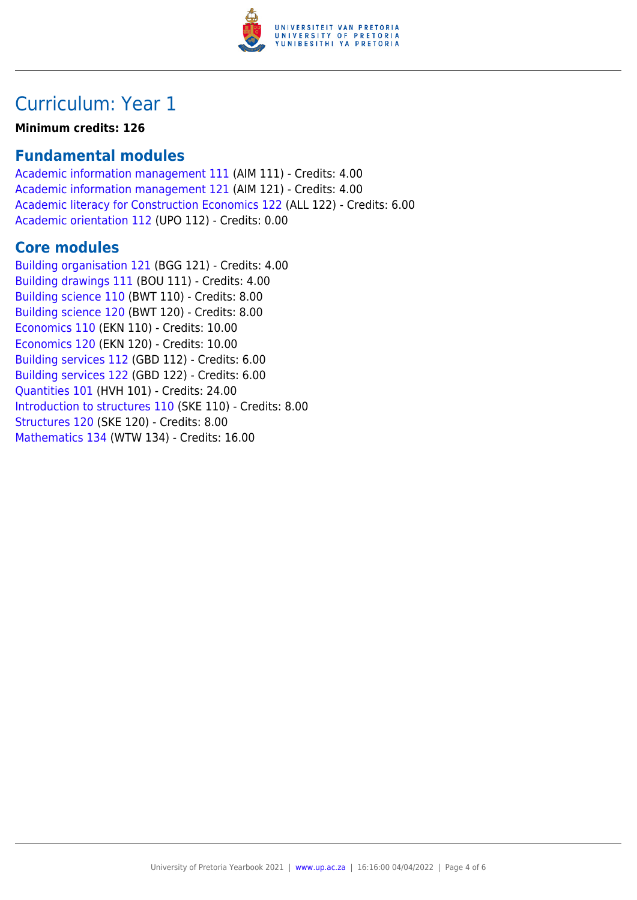

# Curriculum: Year 1

**Minimum credits: 126**

### **Fundamental modules**

[Academic information management 111](https://www.up.ac.za/yearbooks/2021/modules/view/AIM 111) (AIM 111) - Credits: 4.00 [Academic information management 121](https://www.up.ac.za/yearbooks/2021/modules/view/AIM 121) (AIM 121) - Credits: 4.00 [Academic literacy for Construction Economics 122](https://www.up.ac.za/yearbooks/2021/modules/view/ALL 122) (ALL 122) - Credits: 6.00 [Academic orientation 112](https://www.up.ac.za/yearbooks/2021/modules/view/UPO 112) (UPO 112) - Credits: 0.00

### **Core modules**

[Building organisation 121](https://www.up.ac.za/yearbooks/2021/modules/view/BGG 121) (BGG 121) - Credits: 4.00 [Building drawings 111](https://www.up.ac.za/yearbooks/2021/modules/view/BOU 111) (BOU 111) - Credits: 4.00 [Building science 110](https://www.up.ac.za/yearbooks/2021/modules/view/BWT 110) (BWT 110) - Credits: 8.00 [Building science 120](https://www.up.ac.za/yearbooks/2021/modules/view/BWT 120) (BWT 120) - Credits: 8.00 [Economics 110](https://www.up.ac.za/yearbooks/2021/modules/view/EKN 110) (EKN 110) - Credits: 10.00 [Economics 120](https://www.up.ac.za/yearbooks/2021/modules/view/EKN 120) (EKN 120) - Credits: 10.00 [Building services 112](https://www.up.ac.za/yearbooks/2021/modules/view/GBD 112) (GBD 112) - Credits: 6.00 [Building services 122](https://www.up.ac.za/yearbooks/2021/modules/view/GBD 122) (GBD 122) - Credits: 6.00 [Quantities 101](https://www.up.ac.za/yearbooks/2021/modules/view/HVH 101) (HVH 101) - Credits: 24.00 [Introduction to structures 110](https://www.up.ac.za/yearbooks/2021/modules/view/SKE 110) (SKE 110) - Credits: 8.00 [Structures 120](https://www.up.ac.za/yearbooks/2021/modules/view/SKE 120) (SKE 120) - Credits: 8.00 [Mathematics 134](https://www.up.ac.za/yearbooks/2021/modules/view/WTW 134) (WTW 134) - Credits: 16.00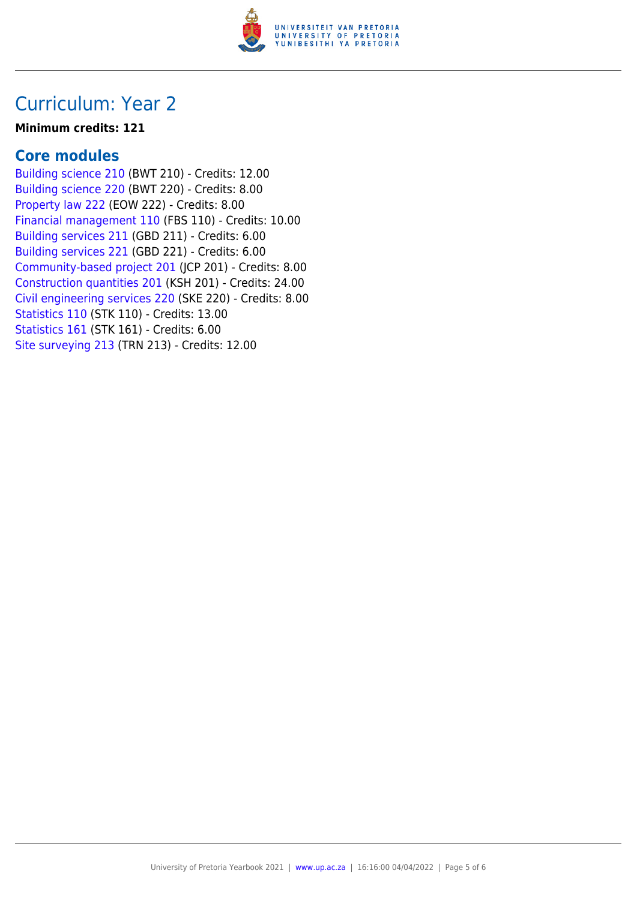

## Curriculum: Year 2

#### **Minimum credits: 121**

### **Core modules**

[Building science 210](https://www.up.ac.za/yearbooks/2021/modules/view/BWT 210) (BWT 210) - Credits: 12.00 [Building science 220](https://www.up.ac.za/yearbooks/2021/modules/view/BWT 220) (BWT 220) - Credits: 8.00 [Property law 222](https://www.up.ac.za/yearbooks/2021/modules/view/EOW 222) (EOW 222) - Credits: 8.00 [Financial management 110](https://www.up.ac.za/yearbooks/2021/modules/view/FBS 110) (FBS 110) - Credits: 10.00 [Building services 211](https://www.up.ac.za/yearbooks/2021/modules/view/GBD 211) (GBD 211) - Credits: 6.00 [Building services 221](https://www.up.ac.za/yearbooks/2021/modules/view/GBD 221) (GBD 221) - Credits: 6.00 [Community-based project 201](https://www.up.ac.za/yearbooks/2021/modules/view/JCP 201) (JCP 201) - Credits: 8.00 [Construction quantities 201](https://www.up.ac.za/yearbooks/2021/modules/view/KSH 201) (KSH 201) - Credits: 24.00 [Civil engineering services 220](https://www.up.ac.za/yearbooks/2021/modules/view/SKE 220) (SKE 220) - Credits: 8.00 [Statistics 110](https://www.up.ac.za/yearbooks/2021/modules/view/STK 110) (STK 110) - Credits: 13.00 [Statistics 161](https://www.up.ac.za/yearbooks/2021/modules/view/STK 161) (STK 161) - Credits: 6.00 [Site surveying 213](https://www.up.ac.za/yearbooks/2021/modules/view/TRN 213) (TRN 213) - Credits: 12.00